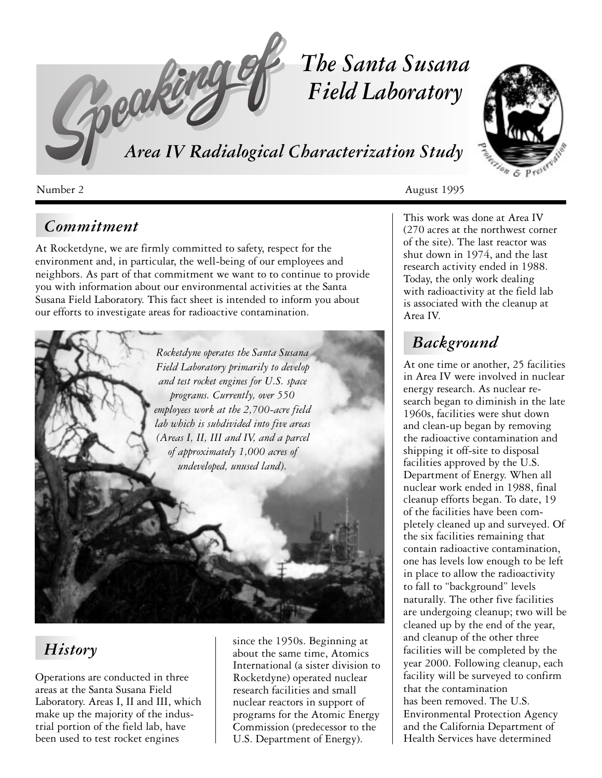

# *Commitment*

At Rocketdyne, we are firmly committed to safety, respect for the environment and, in particular, the well-being of our employees and neighbors. As part of that commitment we want to to continue to provide you with information about our environmental activities at the Santa Susana Field Laboratory. This fact sheet is intended to inform you about our efforts to investigate areas for radioactive contamination.



# *History*

Operations are conducted in three areas at the Santa Susana Field Laboratory. Areas I, II and III, which make up the majority of the industrial portion of the field lab, have been used to test rocket engines

since the 1950s. Beginning at about the same time, Atomics International (a sister division to Rocketdyne) operated nuclear research facilities and small nuclear reactors in support of programs for the Atomic Energy Commission (predecessor to the U.S. Department of Energy).



This work was done at Area IV (270 acres at the northwest corner of the site). The last reactor was shut down in 1974, and the last research activity ended in 1988. Today, the only work dealing with radioactivity at the field lab is associated with the cleanup at Area IV.

# *Background*

At one time or another, 25 facilities in Area IV were involved in nuclear energy research. As nuclear research began to diminish in the late 1960s, facilities were shut down and clean-up began by removing the radioactive contamination and shipping it off-site to disposal facilities approved by the U.S. Department of Energy. When all nuclear work ended in 1988, final cleanup efforts began. To date, 19 of the facilities have been completely cleaned up and surveyed. Of the six facilities remaining that contain radioactive contamination, one has levels low enough to be left in place to allow the radioactivity to fall to "background" levels naturally. The other five facilities are undergoing cleanup; two will be cleaned up by the end of the year, and cleanup of the other three facilities will be completed by the year 2000. Following cleanup, each facility will be surveyed to confirm that the contamination has been removed. The U.S. Environmental Protection Agency and the California Department of Health Services have determined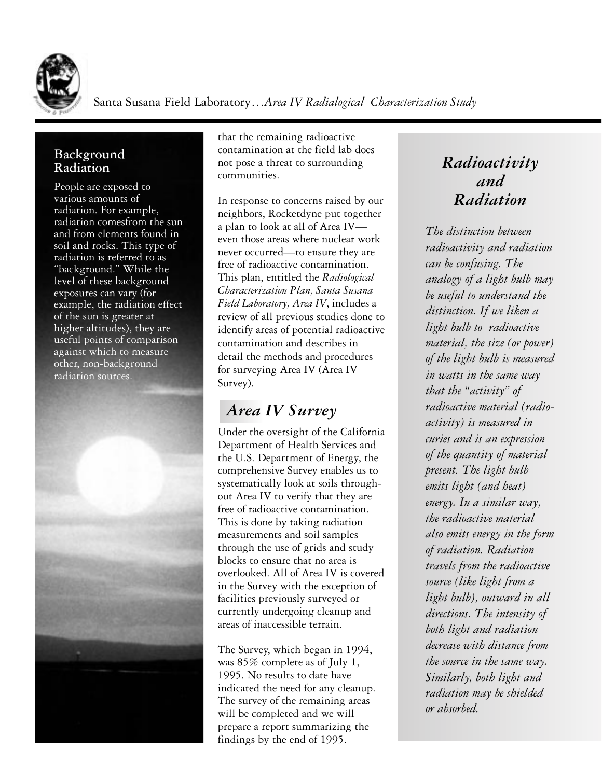

Santa Susana Field Laboratory…*Area IV Radialogical Characterization Study*

#### **Background Radiation**

People are exposed to various amounts of radiation. For example, radiation comesfrom the sun and from elements found in soil and rocks. This type of radiation is referred to as "background." While the level of these background exposures can vary (for example, the radiation effect of the sun is greater at higher altitudes), they are useful points of comparison against which to measure other, non-background radiation sources.



that the remaining radioactive contamination at the field lab does not pose a threat to surrounding communities.

In response to concerns raised by our neighbors, Rocketdyne put together a plan to look at all of Area IV even those areas where nuclear work never occurred—to ensure they are free of radioactive contamination. This plan, entitled the *Radiological Characterization Plan, Santa Susana Field Laboratory, Area IV*, includes a review of all previous studies done to identify areas of potential radioactive contamination and describes in detail the methods and procedures for surveying Area IV (Area IV Survey).

# *Area IV Survey*

Under the oversight of the California Department of Health Services and the U.S. Department of Energy, the comprehensive Survey enables us to systematically look at soils throughout Area IV to verify that they are free of radioactive contamination. This is done by taking radiation measurements and soil samples through the use of grids and study blocks to ensure that no area is overlooked. All of Area IV is covered in the Survey with the exception of facilities previously surveyed or currently undergoing cleanup and areas of inaccessible terrain.

The Survey, which began in 1994, was 85% complete as of July 1, 1995. No results to date have indicated the need for any cleanup. The survey of the remaining areas will be completed and we will prepare a report summarizing the findings by the end of 1995.

## *Radioactivity and Radiation*

*The distinction between radioactivity and radiation can be confusing. The analogy of a light bulb may be useful to understand the distinction. If we liken a light bulb to radioactive material, the size (or power) of the light bulb is measured in watts in the same way that the "activity" of radioactive material (radioactivity) is measured in curies and is an expression of the quantity of material present. The light bulb emits light (and heat) energy. In a similar way, the radioactive material also emits energy in the form of radiation. Radiation travels from the radioactive source (like light from a light bulb), outward in all directions. The intensity of both light and radiation decrease with distance from the source in the same way. Similarly, both light and radiation may be shielded or absorbed.*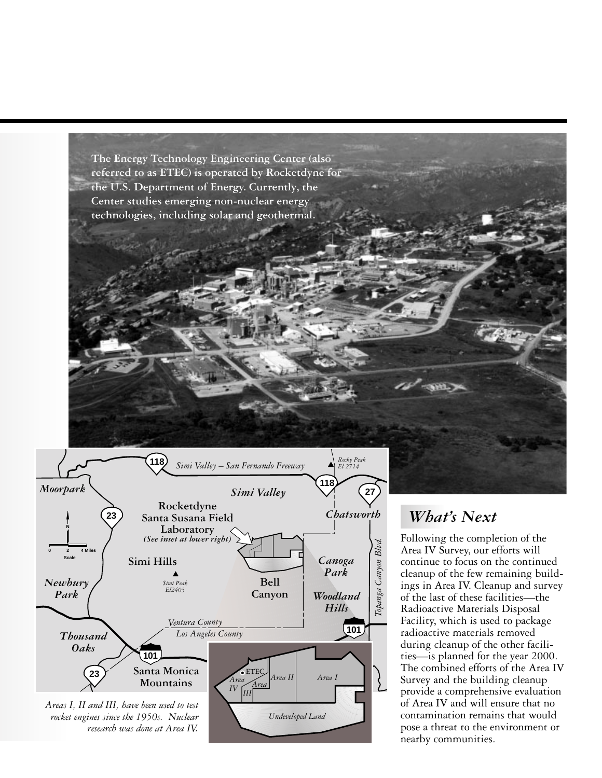



### *What's Next*

Following the completion of the Area IV Survey, our efforts will continue to focus on the continued cleanup of the few remaining buildings in Area IV. Cleanup and survey of the last of these facilities—the Radioactive Materials Disposal Facility, which is used to package radioactive materials removed during cleanup of the other facilities—is planned for the year 2000. The combined efforts of the Area IV Survey and the building cleanup provide a comprehensive evaluation of Area IV and will ensure that no contamination remains that would pose a threat to the environment or nearby communities.